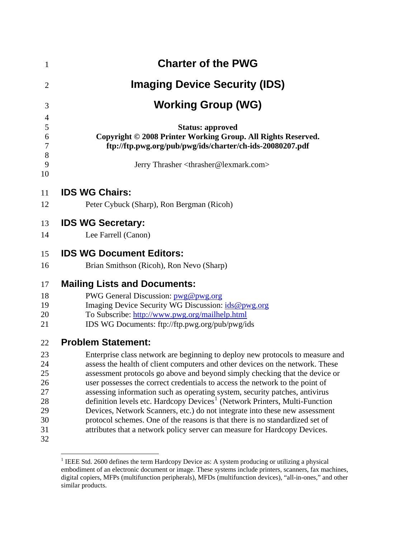| $\mathbf{1}$   | <b>Charter of the PWG</b>                                                                                                                                   |
|----------------|-------------------------------------------------------------------------------------------------------------------------------------------------------------|
| $\overline{2}$ | <b>Imaging Device Security (IDS)</b>                                                                                                                        |
| 3              | <b>Working Group (WG)</b>                                                                                                                                   |
| 4              |                                                                                                                                                             |
| 5              | <b>Status: approved</b>                                                                                                                                     |
| 6<br>7         | Copyright © 2008 Printer Working Group. All Rights Reserved.<br>ftp://ftp.pwg.org/pub/pwg/ids/charter/ch-ids-20080207.pdf                                   |
| 8<br>9         | Jerry Thrasher <thrasher@lexmark.com></thrasher@lexmark.com>                                                                                                |
| 10             |                                                                                                                                                             |
| 11             | <b>IDS WG Chairs:</b>                                                                                                                                       |
| 12             | Peter Cybuck (Sharp), Ron Bergman (Ricoh)                                                                                                                   |
| 13             | <b>IDS WG Secretary:</b>                                                                                                                                    |
| 14             | Lee Farrell (Canon)                                                                                                                                         |
| 15             | <b>IDS WG Document Editors:</b>                                                                                                                             |
| 16             | Brian Smithson (Ricoh), Ron Nevo (Sharp)                                                                                                                    |
| 17             | <b>Mailing Lists and Documents:</b>                                                                                                                         |
| 18             | PWG General Discussion: pwg@pwg.org                                                                                                                         |
| 19             | Imaging Device Security WG Discussion: ids@pwg.org                                                                                                          |
| 20             | To Subscribe: http://www.pwg.org/mailhelp.html                                                                                                              |
| 21             | IDS WG Documents: ftp://ftp.pwg.org/pub/pwg/ids                                                                                                             |
| 22             | <b>Problem Statement:</b>                                                                                                                                   |
| 23             | Enterprise class network are beginning to deploy new protocols to measure and                                                                               |
| 24             | assess the health of client computers and other devices on the network. These                                                                               |
| 25             | assessment protocols go above and beyond simply checking that the device or                                                                                 |
| 26             | user possesses the correct credentials to access the network to the point of                                                                                |
| 27             | assessing information such as operating system, security patches, antivirus                                                                                 |
| 28             | definition levels etc. Hardcopy Devices <sup>1</sup> (Network Printers, Multi-Function                                                                      |
| 29<br>30       | Devices, Network Scanners, etc.) do not integrate into these new assessment<br>protocol schemes. One of the reasons is that there is no standardized set of |
| 31             | attributes that a network policy server can measure for Hardcopy Devices.                                                                                   |
| 32             |                                                                                                                                                             |

<span id="page-0-0"></span><sup>&</sup>lt;sup>1</sup> IEEE Std. 2600 defines the term Hardcopy Device as: A system producing or utilizing a physical embodiment of an electronic document or image. These systems include printers, scanners, fax machines, digital copiers, MFPs (multifunction peripherals), MFDs (multifunction devices), "all-in-ones," and other similar products.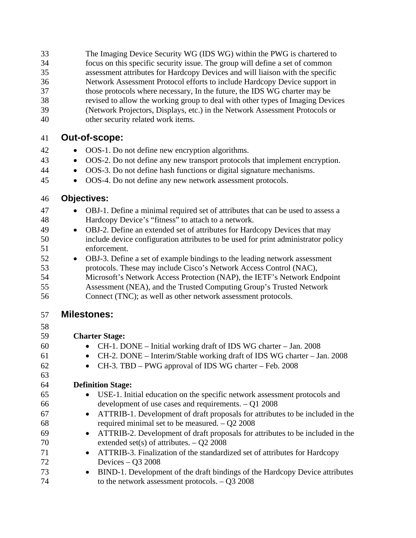The Imaging Device Security WG (IDS WG) within the PWG is chartered to focus on this specific security issue. The group will define a set of common assessment attributes for Hardcopy Devices and will liaison with the specific Network Assessment Protocol efforts to include Hardcopy Device support in those protocols where necessary, In the future, the IDS WG charter may be revised to allow the working group to deal with other types of Imaging Devices (Network Projectors, Displays, etc.) in the Network Assessment Protocols or other security related work items. 33 34 35 36 37 38 39 40

### 41 **Out-of-scope:**

- 42 • OOS-1. Do not define new encryption algorithms.
- 43 • OOS-2. Do not define any new transport protocols that implement encryption.
- 44 • OOS-3. Do not define hash functions or digital signature mechanisms.
- 45 • OOS-4. Do not define any new network assessment protocols.

#### 46 **Objectives:**

- 47 48 • OBJ-1. Define a minimal required set of attributes that can be used to assess a Hardcopy Device's "fitness" to attach to a network.
- 49 50 51 • OBJ-2. Define an extended set of attributes for Hardcopy Devices that may include device configuration attributes to be used for print administrator policy enforcement.
- 52 53 54 55 • OBJ-3. Define a set of example bindings to the leading network assessment protocols. These may include Cisco's Network Access Control (NAC), Microsoft's Network Access Protection (NAP), the IETF's Network Endpoint Assessment (NEA), and the Trusted Computing Group's Trusted Network
- 56 Connect (TNC); as well as other network assessment protocols.

#### 57 **Milestones:**

58

- 59 **Charter Stage:** 
	- CH-1. DONE Initial working draft of IDS WG charter Jan. 2008
	- CH-2. DONE Interim/Stable working draft of IDS WG charter Jan. 2008
		- CH-3. TBD PWG approval of IDS WG charter Feb. 2008

# **Definition Stage:**

- USE-1. Initial education on the specific network assessment protocols and development of use cases and requirements. – Q1 2008
- ATTRIB-1. Development of draft proposals for attributes to be included in the required minimal set to be measured. – Q2 2008
- ATTRIB-2. Development of draft proposals for attributes to be included in the extended set(s) of attributes. – Q2 2008
- ATTRIB-3. Finalization of the standardized set of attributes for Hardcopy Devices – Q3 2008
- 73 74 • BIND-1. Development of the draft bindings of the Hardcopy Device attributes to the network assessment protocols. – Q3 2008